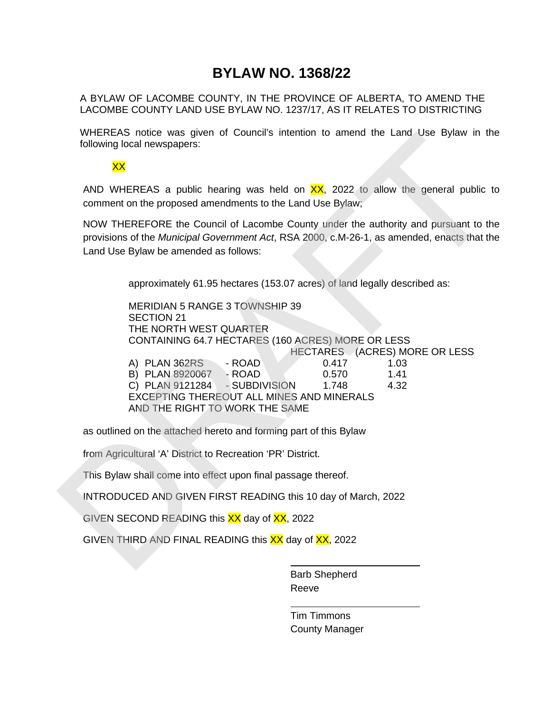## **BYLAW NO. 1368/22**

A BYLAW OF LACOMBE COUNTY, IN THE PROVINCE OF ALBERTA, TO AMEND THE LACOMBE COUNTY LAND USE BYLAW NO. 1237/17, AS IT RELATES TO DISTRICTING

WHEREAS notice was given of Council's intention to amend the Land Use Bylaw in the following local newspapers:

## XX

AND WHEREAS a public hearing was held on  $\frac{XX}{XX}$ , 2022 to allow the general public to comment on the proposed amendments to the Land Use Bylaw;

NOW THEREFORE the Council of Lacombe County under the authority and pursuant to the provisions of the *Municipal Government Act*, RSA 2000, c.M-26-1, as amended, enacts that the Land Use Bylaw be amended as follows:

approximately 61.95 hectares (153.07 acres) of land legally described as:

MERIDIAN 5 RANGE 3 TOWNSHIP 39 SECTION 21 THE NORTH WEST QUARTER CONTAINING 64.7 HECTARES (160 ACRES) MORE OR LESS HECTARES (ACRES) MORE OR LESS A) PLAN 362RS - ROAD 0.417 1.03 B) PLAN 8920067 - ROAD 0.570 1.41 C) PLAN 9121284 - SUBDIVISION 1.748 4.32 EXCEPTING THEREOUT ALL MINES AND MINERALS AND THE RIGHT TO WORK THE SAME WHEREAS hotele was given or Councils internotion cameno the Land Use Bylaw in the Volvemig local newspapers:<br>
XX<br>
AND WHEREAS a public hearing was held on XX 2022 to allow the general public to<br>
common to the Aprobacd amon

as outlined on the attached hereto and forming part of this Bylaw

from Agricultural 'A' District to Recreation 'PR' District.

This Bylaw shall come into effect upon final passage thereof.

INTRODUCED AND GIVEN FIRST READING this 10 day of March, 2022

GIVEN SECOND READING this XX day of XX, 2022

GIVEN THIRD AND FINAL READING this XX day of XX, 2022

Barb Shepherd Reeve

Tim Timmons County Manager